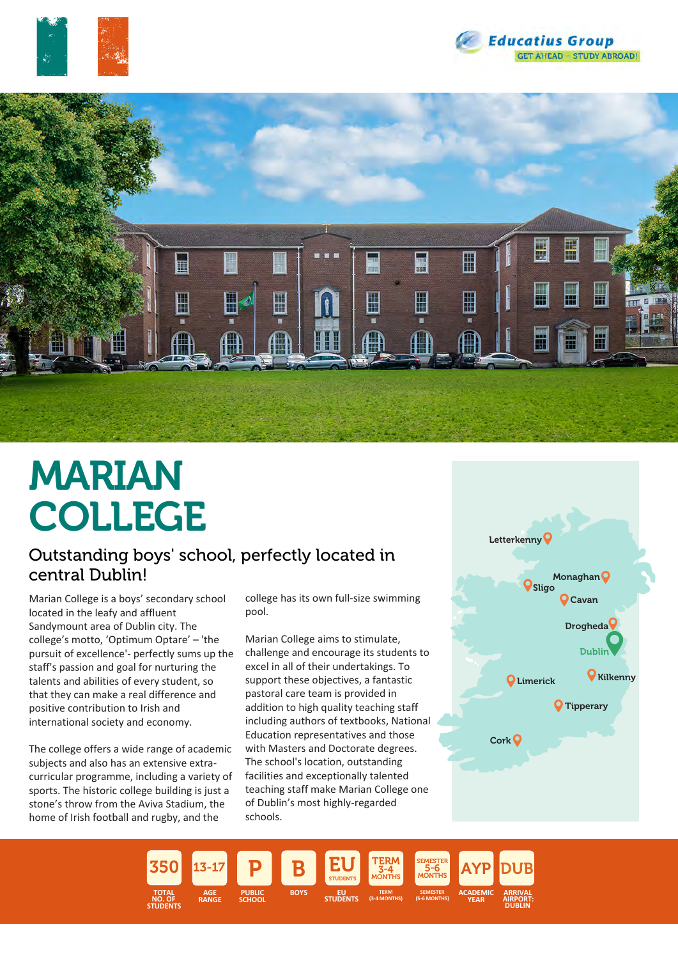





# MARIAN COLLEGE

### Outstanding boys' school, perfectly located in central Dublin!

Marian College is a boys' secondary school located in the leafy and affluent Sandymount area of Dublin city. The college's motto, 'Optimum Optare' – 'the pursuit of excellence'- perfectly sums up the staff's passion and goal for nurturing the talents and abilities of every student, so that they can make a real difference and positive contribution to Irish and international society and economy.

The college offers a wide range of academic subjects and also has an extensive extracurricular programme, including a variety of sports. The historic college building is just a stone's throw from the Aviva Stadium, the home of Irish football and rugby, and the

college has its own full-size swimming pool.

Marian College aims to stimulate, challenge and encourage its students to excel in all of their undertakings. To support these objectives, a fantastic pastoral care team is provided in addition to high quality teaching staff including authors of textbooks, National Education representatives and those with Masters and Doctorate degrees. The school's location, outstanding facilities and exceptionally talented teaching staff make Marian College one of Dublin's most highly-regarded schools.



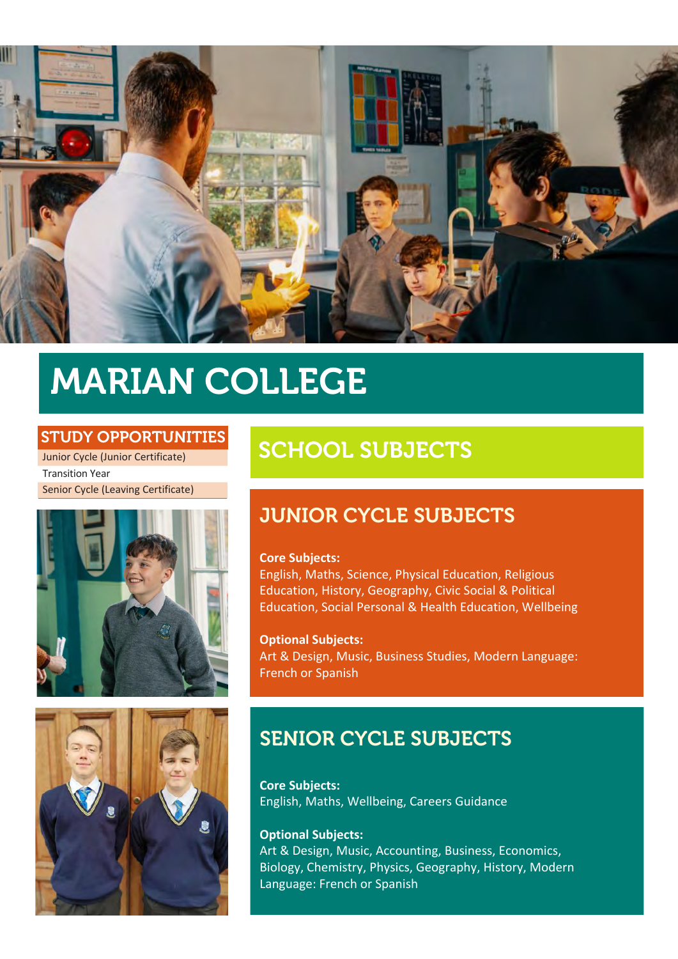

## MARIAN COLLEGE

#### STUDY OPPORTUNITIES

Junior Cycle (Junior Certificate) Transition Year Senior Cycle (Leaving Certificate)





## SCHOOL SUBJECTS

## JUNIOR CYCLE SUBJECTS

#### **Core Subjects:**

English, Maths, Science, Physical Education, Religious Education, History, Geography, Civic Social & Political Education, Social Personal & Health Education, Wellbeing

**Optional Subjects:** Art & Design, Music, Business Studies, Modern Language: French or Spanish

## SENIOR CYCLE SUBJECTS

**Core Subjects:** English, Maths, Wellbeing, Careers Guidance

#### **Optional Subjects:**

Art & Design, Music, Accounting, Business, Economics, Biology, Chemistry, Physics, Geography, History, Modern Language: French or Spanish